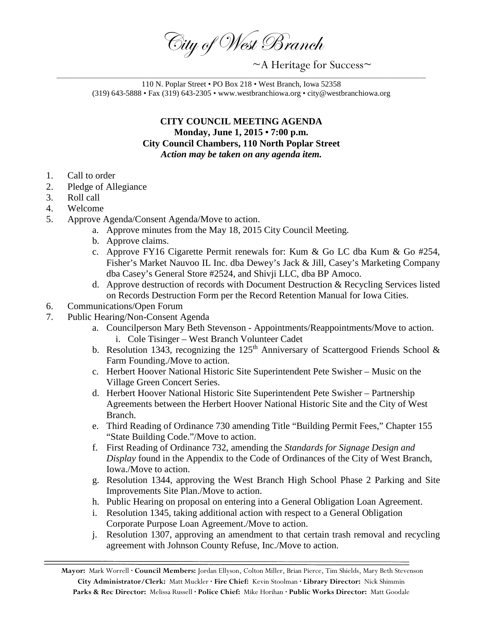City of West Branch

 $\sim$ A Heritage for Success $\sim$ 

110 N. Poplar Street • PO Box 218 • West Branch, Iowa 52358 (319) 643-5888 • Fax (319) 643-2305 • www.westbranchiowa.org • city@westbranchiowa.org

## **CITY COUNCIL MEETING AGENDA Monday, June 1, 2015 • 7:00 p.m. City Council Chambers, 110 North Poplar Street** *Action may be taken on any agenda item.*

- 1. Call to order
- 2. Pledge of Allegiance
- 3. Roll call
- 4. Welcome
- 5. Approve Agenda/Consent Agenda/Move to action.
	- a. Approve minutes from the May 18, 2015 City Council Meeting.
	- b. Approve claims.
	- c. Approve FY16 Cigarette Permit renewals for: Kum & Go LC dba Kum & Go #254, Fisher's Market Nauvoo IL Inc. dba Dewey's Jack & Jill, Casey's Marketing Company dba Casey's General Store #2524, and Shivji LLC, dba BP Amoco.
	- d. Approve destruction of records with Document Destruction & Recycling Services listed on Records Destruction Form per the Record Retention Manual for Iowa Cities.
- 6. Communications/Open Forum
- 7. Public Hearing/Non-Consent Agenda
	- a. Councilperson Mary Beth Stevenson Appointments/Reappointments/Move to action. i. Cole Tisinger – West Branch Volunteer Cadet
	- b. Resolution 1343, recognizing the 125<sup>th</sup> Anniversary of Scattergood Friends School & Farm Founding./Move to action.
	- c. Herbert Hoover National Historic Site Superintendent Pete Swisher Music on the Village Green Concert Series.
	- d. Herbert Hoover National Historic Site Superintendent Pete Swisher Partnership Agreements between the Herbert Hoover National Historic Site and the City of West Branch.
	- e. Third Reading of Ordinance 730 amending Title "Building Permit Fees," Chapter 155 "State Building Code."/Move to action.
	- f. First Reading of Ordinance 732, amending the *Standards for Signage Design and Display* found in the Appendix to the Code of Ordinances of the City of West Branch, Iowa./Move to action.
	- g. Resolution 1344, approving the West Branch High School Phase 2 Parking and Site Improvements Site Plan./Move to action.
	- h. Public Hearing on proposal on entering into a General Obligation Loan Agreement.
	- i. Resolution 1345, taking additional action with respect to a General Obligation Corporate Purpose Loan Agreement./Move to action.
	- j. Resolution 1307, approving an amendment to that certain trash removal and recycling agreement with Johnson County Refuse, Inc./Move to action.

**Mayor:** Mark Worrell **· Council Members:** Jordan Ellyson, Colton Miller, Brian Pierce, Tim Shields, Mary Beth Stevenson **City Administrator/Clerk:** Matt Muckler **· Fire Chief:** Kevin Stoolman **· Library Director:** Nick Shimmin **Parks & Rec Director:** Melissa Russell **· Police Chief:** Mike Horihan **· Public Works Director:** Matt Goodale